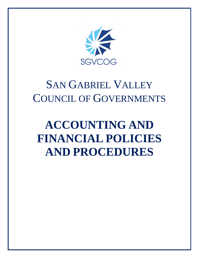

# SAN GABRIEL VALLEY COUNCIL OF GOVERNMENTS

# **ACCOUNTING AND FINANCIAL POLICIES AND PROCEDURES**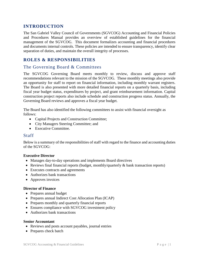## **INTRODUCTION**

The San Gabriel Valley Council of Governments (SGVCOG) Accounting and Financial Policies and Procedures Manual provides an overview of established guidelines for the financial management of the SGVCOG. This document formalizes accounting and financial procedures and documents internal controls. These policies are intended to ensure transparency, identify clear separation of duties, and maintain the overall integrity of processes.

# **ROLES & RESPONSIBILITIES**

## The Governing Board & Committees

The SGVCOG Governing Board meets monthly to review, discuss and approve staff recommendations relevant to the mission of the SGVCOG. These monthly meetings also provide an opportunity for staff to report on financial information, including monthly warrant registers. The Board is also presented with more detailed financial reports on a quarterly basis, including fiscal year budget status, expenditures by project, and grant reimbursement information. Capital construction project reports also include schedule and construction progress status. Annually, the Governing Board reviews and approves a fiscal year budget.

The Board has also identified the following committees to assist with financial oversight as follows:

- Capital Projects and Construction Committee;
- City Managers Steering Committee; and
- Executive Committee.

#### Staff

Below is a summary of the responsibilities of staff with regard to the finance and accounting duties of the SGVCOG:

#### **Executive Director**

- Manages day-to-day operations and implements Board directives
- Reviews final financial reports (budget, monthly/quarterly & bank transaction reports)
- Executes contracts and agreements
- Authorizes bank transactions
- Approves invoices

#### **Director of Finance**

- Prepares annual budget
- Prepares annual Indirect Cost Allocation Plan (ICAP)
- Prepares monthly and quarterly financial reports
- Ensures compliance with SGVCOG investment policy
- Authorizes bank transactions

#### **Senior Accountant**

- Reviews and posts account payables, journal entries
- Prepares check batch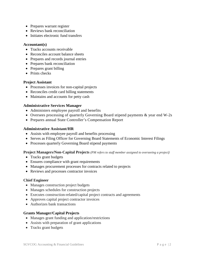- Prepares warrant register
- Reviews bank reconciliation
- Initiates electronic fund transfers

#### **Accountant(s)**

- Tracks accounts receivable
- Reconciles account balance sheets
- Prepares and records journal entries
- Prepares bank reconciliation
- Prepares grant billing
- Prints checks

#### **Project Assistant**

- Processes invoices for non-capital projects
- Reconciles credit card billing statements
- Maintains and accounts for petty cash

#### **Administrative Services Manager**

- Administers employee payroll and benefits
- Oversees processing of quarterly Governing Board stipend payments & year end W-2s
- Prepares annual State Controller's Compensation Report

#### **Administrative Assistant/HR**

- Assists with employee payroll and benefits processing
- Serves as Filing Officer for Governing Board Statements of Economic Interest Filings
- Processes quarterly Governing Board stipend payments

#### **Project Managers/Non-Capital Projects** *(PM refers to staff member assigned to overseeing a project)*

- Tracks grant budgets
- Ensures compliance with grant requirements
- Manages procurement processes for contracts related to projects
- Reviews and processes contractor invoices

#### **Chief Engineer**

- Manages construction project budgets
- Manages schedules for construction projects
- Executes construction-related/capital project contracts and agreements
- Approves capital project contractor invoices
- Authorizes bank transactions

#### **Grants Manager/Capital Projects**

- Manages grant funding and application/restrictions
- Assists with preparation of grant applications
- Tracks grant budgets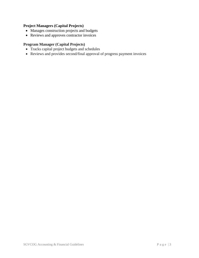## **Project Managers (Capital Projects)**

- Manages construction projects and budgets
- Reviews and approves contractor invoices

### **Program Manager (Capital Projects)**

- Tracks capital project budgets and schedules
- Reviews and provides second/final approval of progress payment invoices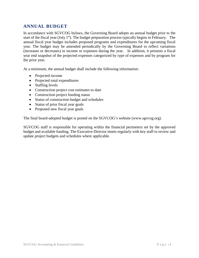# **ANNUAL BUDGET**

In accordance with SGVCOG bylaws, the Governing Board adopts an annual budget prior to the start of the fiscal year (July 1<sup>st</sup>). The budget preparation process typically begins in February. The annual fiscal year budget includes proposed programs and expenditures for the upcoming fiscal year. The budget may be amended periodically by the Governing Board to reflect variations (increases or decreases) in income or expenses during the year. In addition, it presents a fiscal year end snapshot of the projected expenses categorized by type of expenses and by program for the prior year.

At a minimum, the annual budget shall include the following information:

- Projected income
- Projected total expenditures
- Staffing levels
- Construction project cost estimates to date
- Construction project funding status
- Status of construction budget and schedules
- Status of prior fiscal year goals
- Proposed new fiscal year goals

The final board-adopted budget is posted on the SGVCOG's website (www.sgvcog.org).

SGVCOG staff is responsible for operating within the financial perimeters set by the approved budget and available funding. The Executive Director meets regularly with key staff to review and update project budgets and schedules where applicable.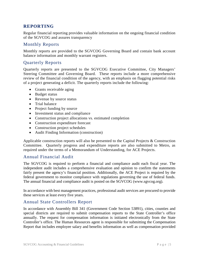# **REPORTING**

Regular financial reporting provides valuable information on the ongoing financial condition of the SGVCOG and assures transparency

# Monthly Reports

Monthly reports are provided to the SGVCOG Governing Board and contain bank account balance information and monthly warrant registers.

## Quarterly Reports

Quarterly reports are presented to the SGVCOG Executive Committee, City Managers' Steering Committee and Governing Board. These reports include a more comprehensive review of the financial condition of the agency, with an emphasis on flagging potential risks of a project generating a deficit. The quarterly reports include the following:

- Grants receivable aging
- Budget status
- Revenue by source status
- Trial balance
- Project funding by source
- Investment status and compliance
- Construction project allocations vs. estimated completion
- Construction expenditure forecast
- Construction project schedules
- Audit Finding Information (construction)

Applicable construction reports will also be presented to the Capital Projects & Construction Committee. Quarterly progress and expenditure reports are also submitted to Metro, as required under the terms of a Memorandum of Understanding, for ACE Projects.

## Annual Financial Audit

The SGVCOG is required to perform a financial and compliance audit each fiscal year. The independent audit includes a comprehensive evaluation and opinion to confirm the statements fairly present the agency's financial position. Additionally, the ACE Project is required by the federal government to monitor compliance with regulations governing the use of federal funds. The annual financial and compliance audit is posted on the SGVCOG (www.sgvcog.org).

In accordance with best management practices, professional audit services are procured to provide these services at least every five years.

## Annual State Controllers Report

In accordance with Assembly Bill 341 (Government Code Section 53891), cities, counties and special districts are required to submit compensation reports to the State Controller's office annually. The request for compensation information is initiated electronically from the State Controller's office. The Human Resources agent is responsible for submitting the Compensation Report that includes employee salary and benefits information as well as compensation provided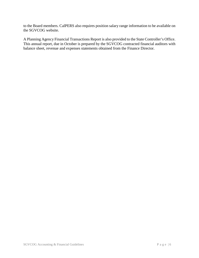to the Board members. CalPERS also requires position salary range information to be available on the SGVCOG website.

A Planning Agency Financial Transactions Report is also provided to the State Controller's Office. This annual report, due in October is prepared by the SGVCOG contracted financial auditors with balance sheet, revenue and expenses statements obtained from the Finance Director.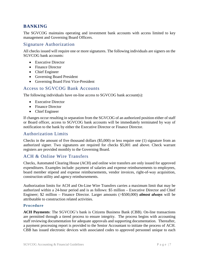## **BANKING**

The SGVCOG maintains operating and investment bank accounts with access limited to key management and Governing Board Officers.

## Signature Authorization

All checks issued will require one or more signatures. The following individuals are signers on the SGVCOG bank accounts:

- Executive Director
- Finance Director
- Chief Engineer
- Governing Board President
- Governing Board First Vice-President

## Access to SGVCOG Bank Accounts

The following individuals have on-line access to SGVCOG bank account(s):

- Executive Director
- Finance Director
- Chief Engineer

If changes occur resulting in separation from the SGVCOG of an authorized position either of staff or Board officer, access to SGVCOG bank accounts will be immediately terminated by way of notification to the bank by either the Executive Director or Finance Director.

#### Authorization Limits

Checks in the amount of five thousand dollars (\$5,000) or less require one (1) signature from an authorized signer. Two signatures are required for checks \$5,001 and above. Check warrant registers are provided monthly to the Governing Board.

## ACH & Online Wire Transfers

Checks, Automated Clearing House (ACH) and online wire transfers are only issued for approved expenditures. Examples include: payment of salaries and expense reimbursements to employees, board member stipend and expense reimbursements, vendor invoices, right-of-way acquisition, construction utility and agency reimbursements.

Authorization limits for ACH and On-Line Wire Transfers carries a maximum limit that may be authorized within a 24-hour period and is as follows: \$5 million – Executive Director and Chief Engineer; \$2 million – Finance Director. Larger amounts (>\$500,000) *almost always* will be attributable to construction related activities.

#### **Procedure**

**ACH Payments**: The SGVCOG's bank is Citizens Business Bank (CBB). On-line transactions are permitted through a tiered process to ensure integrity. The process begins with accounting staff reviewing documentation for adequate approvals and supporting documentation. Thereafter, a payment processing report is provided to the Senior Accountant to initiate the process of ACH. CBB has issued electronic devices with associated codes to approved personnel unique to each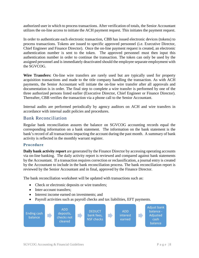authorized user in which to process transactions. After verification of totals, the Senior Accountant utilizes the on-line access to initiate the ACH payment request. This initiates the payment request.

In order to authenticate each electronic transaction, CBB has issued electronic devices (tokens) to process transactions. Tokens are issued to specific approved personnel (i.e. Executive Director, Chief Engineer and Finance Director). Once the on-line payment request is created, an electronic authentication number is sent to the token. The approved personnel must then input this authentication number in order to continue the transaction. The token can only be used by the assigned personnel and is immediately deactivated should the employee separate employment with the SGVCOG.

**Wire Transfers:** On-line wire transfers are rarely used but are typically used for property acquisition transactions and made to the title company handling the transaction. As with ACH payments, the Senior Accountant will initiate the on-line wire transfer after all approvals and documentation is in order. The final step to complete a wire transfer is performed by one of the three authorized persons listed earlier (Executive Director, Chief Engineer or Finance Director). Thereafter, CBB verifies the transaction via a phone call to the Senior Accountant.

Internal audits are performed periodically by agency auditors on ACH and wire transfers in accordance with internal audit policies and procedures.

## Bank Reconciliation

Regular bank reconciliation assures the balance on SGVCOG accounting records equal the corresponding information on a bank statement. The information on the bank statement is the bank's record of all transactions impacting the account during the past month. A summary of bank activity is reflected in the monthly warrant register.

#### **Procedure**

**Daily bank activity report** are generated by the Finance Director by accessing operating accounts via on-line banking. The daily activity report is reviewed and compared against bank statements by the Accountant. If a transaction requires correction or reclassification, a journal entry is created by the Accountant to include in the bank reconciliation process. The bank reconciliation report is reviewed by the Senior Accountant and in final, approved by the Finance Director.

The bank reconciliation worksheet will be updated with transactions such as:

- Check or electronic deposits or wire transfers;
- Inter-account transfers:
- Interest income earned on investments: and
- Payroll activities such as payroll checks and tax liabilities, EFT payments.

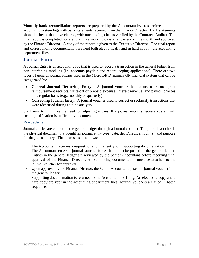**Monthly bank reconciliation reports** are prepared by the Accountant by cross-referencing the accounting system logs with bank statements received from the Finance Director. Bank statements show all checks that have cleared, with outstanding checks verified by the Contracts Auditor. The final report is completed no later than five working days after the end of the month and approved by the Finance Director. A copy of the report is given to the Executive Director. The final report and corresponding documentation are kept both electronically and in hard copy in the accounting department files.

# Journal Entries

A Journal Entry is an accounting log that is used to record a transaction in the general ledger from non-interfacing modules (i.e. accounts payable and recordkeeping applications). There are two types of general journal entries used in the Microsoft Dynamics GP financial system that can be categorized by:

- **General Journal Recurring Entry:** A journal voucher that occurs to record grant reimbursement receipts, write-off of prepaid expense, interest revenue, and payroll charges on a regular basis (e.g., monthly or quarterly).
- **Correcting Journal Entry:** A journal voucher used to correct or reclassify transactions that were identified during routine analysis.

Staff aims to minimize the need for adjusting entries. If a journal entry is necessary, staff will ensure justification is sufficiently documented.

#### **Procedure**

Journal entries are entered in the general ledger through a journal voucher. The journal voucher is the physical document that identifies journal entry type, date, debit/credit amount(s), and purpose for the journal entry. The process is as follows:

- 1. The Accountant receives a request for a journal entry with supporting documentation.
- 2. The Accountant enters a journal voucher for each item to be posted in the general ledger. Entries in the general ledger are reviewed by the Senior Accountant before receiving final approval of the Finance Director. All supporting documentation must be attached to the journal voucher for approval.
- 3. Upon approval by the Finance Director, the Senior Accountant posts the journal voucher into the general ledger.
- 4. Supporting documentation is returned to the Accountant for filing. An electronic copy and a hard copy are kept in the accounting department files. Journal vouchers are filed in batch sequence.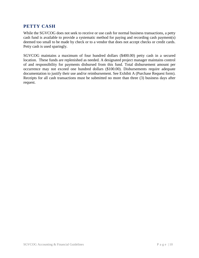## **PETTY CASH**

While the SGVCOG does not seek to receive or use cash for normal business transactions, a petty cash fund is available to provide a systematic method for paying and recording cash payment(s) deemed too small to be made by check or to a vendor that does not accept checks or credit cards. Petty cash is used sparingly.

SGVCOG maintains a maximum of four hundred dollars (\$400.00) petty cash in a secured location. These funds are replenished as needed. A designated project manager maintains control of and responsibility for payments disbursed from this fund. Total disbursement amount per occurrence may not exceed one hundred dollars (\$100.00). Disbursements require adequate documentation to justify their use and/or reimbursement. See Exhibit A (Purchase Request form). Receipts for all cash transactions must be submitted no more than three (3) business days after request.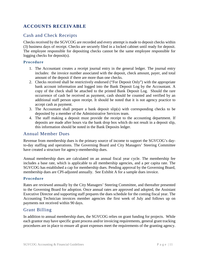# **ACCOUNTS RECEIVABLE**

## Cash and Check Receipts

Checks received by the SGVCOG are recorded and every attempt is made to deposit checks within (3) business days of receipt. Checks are securely filed in a locked cabinet until ready for deposit. The employee responsible for depositing checks cannot be the same employee responsible for logging checks for deposit(s).

### **Procedure**

- 1. The Accountant creates a receipt journal entry in the general ledger. The journal entry includes: the invoice number associated with the deposit, check amount, payer, and total amount of the deposit if there are more than one checks.
- 2. Checks received shall be restrictively endorsed ("For Deposit Only") with the appropriate bank account information and logged into the Bank Deposit Log by the Accountant. A copy of the check shall be attached to the printed Bank Deposit Log. Should the rare occurrence of cash be received as payment, cash should be counted and verified by an additional staff person upon receipt. It should be noted that it is not agency practice to accept cash as payment.
- 3. The Accountant shall prepare a bank deposit slip(s) with corresponding checks to be deposited by a member of the Administrative Services team.
- 4. The staff making a deposit must provide the receipt to the accounting department. If deposits are made after hours via the bank drop box which do not result in a deposit slip, this information should be noted in the Bank Deposits ledger.

## Annual Member Dues

Revenue from membership dues is the primary source of income to support the SGVCOG's dayto-day staffing and operations. The Governing Board and City Managers' Steering Committee have created a structure for agency-membership dues.

Annual membership dues are calculated on an annual fiscal year cycle. The membership fee includes a base rate, which is applicable to all membership agencies, and a per capita rate. The SGVCOG has established a cap for membership dues. Pending approval by the Governing Board, membership dues are CPI-adjusted annually. See Exhibit A for a sample dues invoice.

#### **Procedure**

Rates are reviewed annually by the City Managers' Steering Committee, and thereafter presented to the Governing Board for adoption. Once annual rates are approved and adopted, the Assistant Executive Director and supporting staff prepares the dues schedule for the coming fiscal year. The Accounting Technician invoices member agencies the first week of July and follows up on payments not received within 90 days.

## Grant Billing

In addition to annual membership dues, the SGVCOG relies on grant funding for projects. While each grantor may have specific grant process and/or invoicing requirements, general grant tracking procedures are in place to ensure all grant expenses meet the requirements of the granting agency.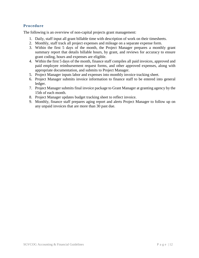## **Procedure**

The following is an overview of non-capital projects grant management:

- 1. Daily, staff input all grant billable time with description of work on their timesheets.
- 2. Monthly, staff track all project expenses and mileage on a separate expense form.
- 3. Within the first 5 days of the month, the Project Manager prepares a monthly grant summary report that details billable hours, by grant, and reviews for accuracy to ensure grant coding, hours and expenses are eligible.
- 4. Within the first 5 days of the month, finance staff compiles all paid invoices, approved and paid employee reimbursement request forms, and other approved expenses, along with appropriate documentation, and submits to Project Manager.
- 5. Project Manager inputs labor and expenses into monthly invoice tracking sheet.
- 6. Project Manager submits invoice information to finance staff to be entered into general ledger.
- 7. Project Manager submits final invoice package to Grant Manager at granting agency by the 15th of each month.
- 8. Project Manager updates budget tracking sheet to reflect invoice.
- 9. Monthly, finance staff prepares aging report and alerts Project Manager to follow up on any unpaid invoices that are more than 30 past due.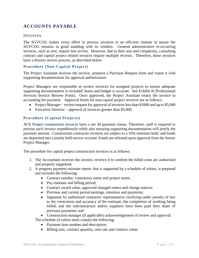# **ACCOUNTS PAYABLE**

## Invoices

The SGVCOG makes every effort to process invoices in an efficient manner to assure the SGVCOG remains in good standing with its vendors. General administrative re-occurring invoices, such as rent, require less review. However, due to their size and complexity, consulting contract and capital project related invoices require multiple reviews. Therefore, those invoices have a distinct review process, as described below.

#### **Procedure (Non-Capital Project)**

The Project Assistant receives the invoice, prepares a Purchase Request form and routes it with supporting documentation for approval authorization.

Project Managers are responsible to review invoices for assigned projects to ensure adequate supporting documentation is included, hours and budget is accurate. See Exhibit B (Professional Services Invoice Review Form). Once approved, the Project Assistant routes the invoice to accounting for payment. Approval limits for non-capital project invoices are as follows:

- Project Manager review/request for approval of invoices less than \$1000 and up to \$5,000
- Executive Director approval of invoices greater than \$5,000

#### **Procedure (Capital Projects)**

ACE Project construction invoices have a net 30 payment clause. Therefore, staff is required to process each invoice expeditiously while also ensuring supporting documentation will justify the payment amount. Construction contractor invoices are subject to a 10% retention hold, and funds are deposited into a jointly held escrow account. Funds are released upon approval from the Senior Project Manager.

The procedure for capital project construction invoices is as follows:

- 1. The Accountant receives the invoice, reviews it to confirm the billed costs are authorized and properly supported.
- 2. A progress payment estimate report, that is supported by a schedule of values, is prepared and includes the following:
	- Contract number, contractors name and project name;
	- Pay estimate and billing period;
	- Contract award value, approved changed orders and change notices;
	- Previous and current period earnings, retention and payments;
	- Signature by authorized contractor representative certifying under penalty of law to the correctness and accuracy of the estimate, the completion of working being billed, and the subcontractors and/or suppliers have been paid their share of previous payments; and

• Construction manager (if applicable) acknowledgement of review and approval.

- The schedule of values must contain the following:
	- Payment item number and description;
	- Billing unit, contract quantity, unit rate and contract value;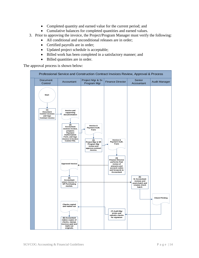- Completed quantity and earned value for the current period; and
- Cumulative balances for completed quantities and earned values.
- 3. Prior to approving the invoice, the Project/Program Manager must verify the following:
	- All conditional and unconditional releases are in order;
	- Certified payrolls are in order;
	- Updated project schedule is acceptable;
	- Billed work has been completed in a satisfactory manner; and
	- Billed quantities are in order.

The approval process is shown below:

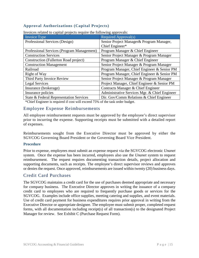## **Approval Authorizations (Capital Projects)**

| Invoice Type                               | Required Approval(s)                          |  |  |  |
|--------------------------------------------|-----------------------------------------------|--|--|--|
| Professional Services (Design)             | Senior Project Manager & Program Manager,     |  |  |  |
|                                            | Chief Engineer*                               |  |  |  |
| Professional Services (Program Management) | Program Manager & Chief Engineer              |  |  |  |
| <b>Construction Services</b>               | Senior Project Manager & Program Manager      |  |  |  |
| Construction (Fullerton Road project)      | Program Manager & Chief Engineer              |  |  |  |
| <b>Construction Management</b>             | Senior Project Manager & Program Manager      |  |  |  |
| Railroad                                   | Program Manager, Chief Engineer & Senior PM   |  |  |  |
| Right of Way                               | Program Manager, Chief Engineer & Senior PM   |  |  |  |
| Third Party Invoice Review                 | Senior Project Manager & Program Manager      |  |  |  |
| <b>Legal Services</b>                      | Project Manager, Chief Engineer & Senior PM   |  |  |  |
| Insurance (brokerage)                      | Contracts Manager & Chief Engineer            |  |  |  |
| Insurance policies                         | Administrative Services Mgr. & Chief Engineer |  |  |  |
| State & Federal Representation Services    | Dir. Gov/Comm Relations & Chief Engineer      |  |  |  |

Invoices related to capital projects require the following approvals:

\*Chief Engineer is required if cost will exceed 75% of the task order budget.

## Employee Expense Reimbursements

All employee reimbursement requests must be approved by the employee's direct supervisor prior to incurring the expense. Supporting receipts must be submitted with a detailed report of expenses.

Reimbursements sought from the Executive Director must be approved by either the SGVCOG Governing Board President or the Governing Board Vice President.

#### **Procedure**

Prior to expense, employees must submit an expense request via the SGVCOG electronic *Unanet* system. Once the expense has been incurred, employees also use the *Unanet* system to request reimbursement. The request requires documenting transaction details, project allocation and supporting documents, such as receipts. The employee's direct supervisor reviews and approves or denies the request. Once approved, reimbursements are issued within twenty (20) business days.

## Credit Card Purchases

The SGVCOG maintains a credit card for the use of purchases deemed appropriate and necessary for company business. The Executive Director approves in writing the issuance of a company credit card to employees who are required to frequently purchase goods or services for the SGVCOG. Examples include office supplies, meeting catering and supplies, and event materials. Use of credit card payment for business expenditures requires prior approval in writing from the Executive Director or appropriate designee. The employee must submit proper, completed request forms, with all documentation including receipt(s) of all transaction(s) to the designated Project Manager for review. See Exhibit C (Purchase Request Form).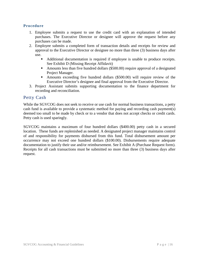#### **Procedure**

- 1. Employee submits a request to use the credit card with an explanation of intended purchases. The Executive Director or designee will approve the request before any purchases can be made.
- 2. Employee submits a completed form of transaction details and receipts for review and approval to the Executive Director or designee no more than three (3) business days after use.
	- Additional documentation is required if employee is unable to produce receipts. See Exhibit D (Missing Receipt Affidavit)
	- Amounts less than five hundred dollars (\$500.00) require approval of a designated Project Manager.
	- Amounts exceeding five hundred dollars (\$500.00) will require review of the Executive Director's designee and final approval from the Executive Director.
- 3. Project Assistant submits supporting documentation to the finance department for recording and reconciliation.

## Petty Cash

While the SGVCOG does not seek to receive or use cash for normal business transactions, a petty cash fund is available to provide a systematic method for paying and recording cash payment(s) deemed too small to be made by check or to a vendor that does not accept checks or credit cards. Petty cash is used sparingly.

SGVCOG maintains a maximum of four hundred dollars (\$400.00) petty cash in a secured location. These funds are replenished as needed. A designated project manager maintains control of and responsibility for payments disbursed from this fund. Total disbursement amount per occurrence may not exceed one hundred dollars (\$100.00). Disbursements require adequate documentation to justify their use and/or reimbursement. See Exhibit A (Purchase Request form). Receipts for all cash transactions must be submitted no more than three (3) business days after request.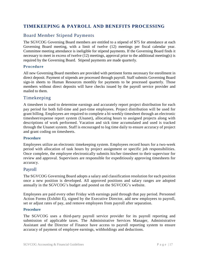# **TIMEKEEPING & PAYROLL AND BENEFITS PROCESSING**

# Board Member Stipend Payments

The SGVCOG Governing Board members are entitled to a stipend of \$75 for attendance at each Governing Board meeting, with a limit of twelve (12) meetings per fiscal calendar year. Committee meeting attendance is ineligible for stipend payments. If the Governing Board finds it necessary to meet in excess of twelve (12) meetings, approval prior to the additional meeting(s) is required by the Governing Board. Stipend payments are made quarterly.

### **Procedure**

All new Governing Board members are provided with pertinent forms necessary for enrollment in direct deposit. Payment of stipends are processed through payroll. Staff submits Governing Board sign-in sheets to Human Resources monthly for payments to be processed quarterly. Those members without direct deposits will have checks issued by the payroll service provider and mailed to them.

## Timekeeping

A timesheet is used to determine earnings and accurately report project distribution for each pay period for both full-time and part-time employees. Project distribution will be used for grant billing. Employees are required to complete a bi-weekly timesheet through an electronic timesheet/expense report system (Unanet), allocating hours to assigned projects along with descriptions of work performed. Vacation and sick time accumulated and used is tracked through the Unanet system. Staff is encouraged to log time daily to ensure accuracy of project and grant coding on timesheets.

#### **Procedure**

Employees utilize an electronic timekeeping system. Employees record hours for a two-week period with allocation of task hours by project assignment or specific job responsibilities. Once complete, the employee electronically submits his/her timesheet to their supervisor for review and approval. Supervisors are responsible for expeditiously approving timesheets for accuracy.

## Payroll

The SGVCOG Governing Board adopts a salary and classification resolution for each position once a new position is developed. All approved positions and salary ranges are adopted annually in the SGVCOG's budget and posted on the SGVCOG's website.

Employees are paid every other Friday with earnings paid through that pay period. Personnel Action Forms (Exhibit E), signed by the Executive Director, add new employees to payroll, set or adjust rates of pay, and remove employees from payroll after separation.

#### **Procedure**

The SGVCOG uses a third-party payroll service provider for its payroll reporting and submission of applicable taxes. The Administrative Services Manager, Administrative Assistant and the Director of Finance have access to payroll reporting system to ensure accuracy of payment of employee earnings, withholdings and deductions.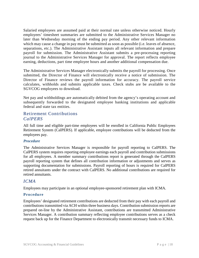Salaried employees are assumed paid at their normal rate unless otherwise noticed. Hourly employees' timesheet summaries are submitted to the Administrative Services Manager no later than Wednesday morning of the ending pay period. Any other relevant information which may cause a change in pay must be submitted as soon as possible (i.e. leaves of absence, separations, etc.). The Administrative Assistant inputs all relevant information and prepare payroll for submission. The Administrative Assistant submits a pre-processing reporting journal to the Administrative Services Manager for approval. The report reflects employee earning, deductions, part time employee hours and another additional compensation due.

The Administrative Services Manager electronically submits the payroll for processing. Once submitted, the Director of Finance will electronically receive a notice of submission. The Director of Finance reviews the payroll information for accuracy. The payroll service calculates, withholds and submits applicable taxes. Check stubs are be available to the SGVCOG employees to download.

Net pay and withholdings are automatically debited from the agency's operating account and subsequently forwarded to the designated employee banking institutions and applicable federal and state tax entities.

## Retirement Contributions *CalPERS*

All full time and eligible part-time employees will be enrolled in California Public Employees Retirement System (CalPERS). If applicable, employee contributions will be deducted from the employees pay.

#### *Procedure*

The Administrative Services Manager is responsible for payroll reporting to CalPERS. The CalPERS system requires reporting employee earnings each payroll and contribution submissions for all employees. A member summary contributions report is generated through the CalPERS payroll reporting system that defines all contribution information or adjustments and serves as supporting documentation for submissions. Payroll reporting of hours is required for CalPERS retired annuitants under the contract with CalPERS. No additional contributions are required for retired annuitants.

## *ICMA*

Employees may participate in an optional employee-sponsored retirement plan with ICMA.

## **Procedure**

Employees' designated retirement contributions are deducted from their pay with each payroll and contributions transmitted via ACH within three business days. Contribution submission reports are prepared on-line by the Administrative Assistant, contributions are transmitted Administrative Services Manager. A contribution summary reflecting employee contributions serves as a check request back up for the Finance Department to electronically transmit necessary funds to ICMA.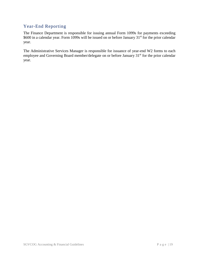# Year-End Reporting

The Finance Department is responsible for issuing annual Form 1099s for payments exceeding \$600 in a calendar year. Form 1099s will be issued on or before January 31<sup>st</sup> for the prior calendar year.

The Administrative Services Manager is responsible for issuance of year-end W2 forms to each employee and Governing Board member/delegate on or before January 31<sup>st</sup> for the prior calendar year.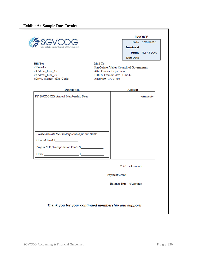|                                                  |                                                           |                             |                  | <b>INVOICE</b>    |
|--------------------------------------------------|-----------------------------------------------------------|-----------------------------|------------------|-------------------|
|                                                  |                                                           |                             |                  | Date 07/01/2016   |
| San Gabriel Valley Council of Governments.       |                                                           |                             | <b>Invoice #</b> |                   |
|                                                  |                                                           |                             |                  | Terms Net 45 Days |
|                                                  |                                                           |                             | <b>Due Date</b>  |                   |
| <b>Bill To:</b>                                  | Mail To:                                                  |                             |                  |                   |
| «Name1»                                          | San Gabriel Valley Council of Governments                 |                             |                  |                   |
| «Address_Line_1»<br>«Address Line 2»             | Attn: Finance Department<br>1000 S. Fremont Ave., Unit 42 |                             |                  |                   |
| «City», «State» «Zip_Code»                       | Alhambra, CA 91803                                        |                             |                  |                   |
|                                                  |                                                           |                             |                  |                   |
| <b>Description</b>                               |                                                           |                             | <b>Amount</b>    |                   |
| FY 20XX-20XX Annual Membership Dues              |                                                           |                             |                  | «Amount»          |
|                                                  |                                                           |                             |                  |                   |
|                                                  |                                                           |                             |                  |                   |
|                                                  |                                                           |                             |                  |                   |
|                                                  |                                                           |                             |                  |                   |
|                                                  |                                                           |                             |                  |                   |
|                                                  |                                                           |                             |                  |                   |
|                                                  |                                                           |                             |                  |                   |
| Please Indicate the Funding Source for our Dues: |                                                           |                             |                  |                   |
|                                                  |                                                           |                             |                  |                   |
| General Fund \$                                  |                                                           |                             |                  |                   |
| Prop A & C, Transportation Funds \$              |                                                           |                             |                  |                   |
|                                                  |                                                           |                             |                  |                   |
|                                                  |                                                           |                             |                  |                   |
|                                                  |                                                           |                             | Total «Amount»   |                   |
|                                                  |                                                           |                             |                  |                   |
|                                                  |                                                           | Payment/Credit              |                  |                   |
|                                                  |                                                           | <b>Balance Due</b> «Amount» |                  |                   |
|                                                  |                                                           |                             |                  |                   |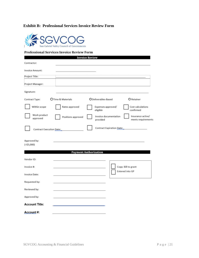## **Exhibit B: Professional Services Invoice Review Form**



#### **Professional Services Invoice Review Form**

|                                 |                    | <b>Invoice Review</b>             |                                         |
|---------------------------------|--------------------|-----------------------------------|-----------------------------------------|
| Contractor:                     |                    |                                   |                                         |
| Invoice Amount:                 |                    |                                   |                                         |
| Project Title:                  |                    |                                   |                                         |
| Project Manager:                |                    |                                   |                                         |
| Signature:                      |                    |                                   |                                         |
| Contract Type:                  | OTime & Materials  | ODeliverables-Based               | O Retainer                              |
| Within scope                    | Rates approved     | Expenses approved/<br>eligible    | Cost calculations<br>confirmed          |
| Work product<br>approved        | Positions approved | Invoice documentation<br>provided | Insurance active/<br>meets requirements |
| <b>Contract Execution Date:</b> |                    | <b>Contract Expiration Date:</b>  |                                         |
| Approved by:<br>( > \$5,000)    |                    |                                   |                                         |
|                                 |                    | <b>Payment Authorization</b>      |                                         |
| Vendor ID:                      |                    |                                   |                                         |
| Invoice #:                      |                    |                                   | Copy: Bill to grant                     |
| Invoice Date:                   |                    | Entered into GP                   |                                         |
| Requested by:                   |                    |                                   |                                         |
| Reviewed by:                    |                    |                                   |                                         |
| Approved by:                    |                    |                                   |                                         |
| <b>Account Title:</b>           |                    |                                   |                                         |
| Account#:                       |                    |                                   |                                         |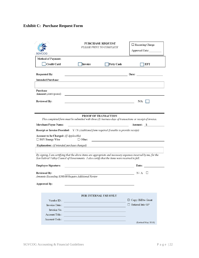# **Exhibit C: Purchase Request Form**

|                                                                                                                                                                                                                    | SGVCOG                                                           | <b>PURCHASE REQUEST</b><br>PLEASE PRINT TO COMPLETE                                                                                                                                       | $\Box$ Recurring Charge<br>Approved Date: |  |  |  |  |
|--------------------------------------------------------------------------------------------------------------------------------------------------------------------------------------------------------------------|------------------------------------------------------------------|-------------------------------------------------------------------------------------------------------------------------------------------------------------------------------------------|-------------------------------------------|--|--|--|--|
|                                                                                                                                                                                                                    | <b>Method of Payment:</b>                                        |                                                                                                                                                                                           |                                           |  |  |  |  |
|                                                                                                                                                                                                                    | <b>Credit Card</b>                                               | Invoice<br>Petty Cash                                                                                                                                                                     | EFT                                       |  |  |  |  |
|                                                                                                                                                                                                                    | <b>Requested By:</b>                                             | <u> 1980 - Johann Barn, amerikansk politiker (</u>                                                                                                                                        | Date: $\qquad \qquad$                     |  |  |  |  |
|                                                                                                                                                                                                                    | <b>Intended Purchase:</b>                                        |                                                                                                                                                                                           |                                           |  |  |  |  |
|                                                                                                                                                                                                                    | Purchase<br>Amount: (Anticipated)                                | the control of the control of the control of the control of the control of the control of                                                                                                 |                                           |  |  |  |  |
|                                                                                                                                                                                                                    | <b>Reviewed By:</b>                                              | <u> 1989 - Johann Stein, mars an deus an deus Amerikaansk kommunister (</u>                                                                                                               | N/A                                       |  |  |  |  |
|                                                                                                                                                                                                                    |                                                                  |                                                                                                                                                                                           |                                           |  |  |  |  |
|                                                                                                                                                                                                                    |                                                                  | PROOF OF TRANSACTION                                                                                                                                                                      |                                           |  |  |  |  |
|                                                                                                                                                                                                                    |                                                                  | This completed form must be submitted with three (3) business days of transactions or receipt of invoice.                                                                                 |                                           |  |  |  |  |
|                                                                                                                                                                                                                    | Merchant/Payee Name:                                             |                                                                                                                                                                                           | Amount: \$                                |  |  |  |  |
|                                                                                                                                                                                                                    | Account to be Charged: (If Applicable)<br>$\Box$ SGV Energy Wise | Receipt or Invoice Provided: Y / N (Additional form required if unable to provide receipt)<br>$\Box$ Other:<br>the control of the control of the control of the control of the control of |                                           |  |  |  |  |
|                                                                                                                                                                                                                    | Explanation: (if intended purchase changed)                      |                                                                                                                                                                                           |                                           |  |  |  |  |
| By signing, I am certifying that the above items are appropriate and necessary expenses incurred by me, for the<br>San Gabriel Valley Council of Governments. I also certify that the items were received in full. |                                                                  |                                                                                                                                                                                           |                                           |  |  |  |  |
|                                                                                                                                                                                                                    | <b>Employee Signature:</b>                                       | the control of the control of the control of the control of the control of the control of                                                                                                 | Date:                                     |  |  |  |  |
|                                                                                                                                                                                                                    | <b>Reviewed By:</b>                                              |                                                                                                                                                                                           | N/A                                       |  |  |  |  |
|                                                                                                                                                                                                                    | Amounts Exceeding \$500.00 Require Additional Review             |                                                                                                                                                                                           |                                           |  |  |  |  |
| <b>Approved By:</b>                                                                                                                                                                                                |                                                                  |                                                                                                                                                                                           |                                           |  |  |  |  |
|                                                                                                                                                                                                                    |                                                                  |                                                                                                                                                                                           |                                           |  |  |  |  |
|                                                                                                                                                                                                                    | Vendor ID:                                                       | <b>FOR INTERNAL USE ONLY</b>                                                                                                                                                              | □ Copy: Bill to Grant                     |  |  |  |  |
|                                                                                                                                                                                                                    | Invoice Date:                                                    |                                                                                                                                                                                           | $\Box$ Entered Into GP                    |  |  |  |  |
|                                                                                                                                                                                                                    | Invoice No.                                                      |                                                                                                                                                                                           |                                           |  |  |  |  |
|                                                                                                                                                                                                                    | Account Title:                                                   |                                                                                                                                                                                           |                                           |  |  |  |  |
|                                                                                                                                                                                                                    | Account Code:                                                    |                                                                                                                                                                                           |                                           |  |  |  |  |
|                                                                                                                                                                                                                    |                                                                  |                                                                                                                                                                                           | (Revised May 2018)                        |  |  |  |  |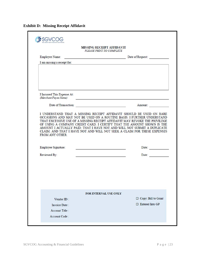**Exhibit D: Missing Receipt Affidavit**

|                                                                                                                                                                                                                                | <b>MISSING RECEIPT AFFIDAVIT</b>                                                                                                                                                                                                                                                                                                                                                  |
|--------------------------------------------------------------------------------------------------------------------------------------------------------------------------------------------------------------------------------|-----------------------------------------------------------------------------------------------------------------------------------------------------------------------------------------------------------------------------------------------------------------------------------------------------------------------------------------------------------------------------------|
|                                                                                                                                                                                                                                | PLEASE PRINT TO COMPLETE                                                                                                                                                                                                                                                                                                                                                          |
| <b>Employee Name:</b><br>the control of the control of the control of the                                                                                                                                                      | Date of Request:                                                                                                                                                                                                                                                                                                                                                                  |
| I am missing a receipt for:                                                                                                                                                                                                    |                                                                                                                                                                                                                                                                                                                                                                                   |
| I Incurred This Expense At:<br>(Merchant/Payee Name)                                                                                                                                                                           | and the control of the control of the control of the control of the control of the control of the control of the                                                                                                                                                                                                                                                                  |
| Date of Transaction: and the contract of the contract of the contract of the contract of the contract of the contract of the contract of the contract of the contract of the contract of the contract of the contract of the c | Amount:                                                                                                                                                                                                                                                                                                                                                                           |
|                                                                                                                                                                                                                                | I UNDERSTAND THAT A MISSING RECEIPT AFFIDAVIT SHOULD BE USED ON RARE<br>OCCASIONS AND MAY NOT BE USED ON A ROUTINE BASIS. I FURTHER UNDERSTAND<br>THAT EXCESSIVE USE OF A MISSING RECEIPT AFFIDAVIT MAY REVOKE THE PRIVILEGE<br>OF USING A COMPANY CREDIT CARD. I CERTIFY THAT THE AMOUNT SHOWN IS THE<br>AMOUNT I ACTUALLY PAID; THAT I HAVE NOT AND WILL NOT SUBMIT A DUPLICATE |
|                                                                                                                                                                                                                                | CLAIM: AND THAT I HAVE NOT AND WILL NOT SEEK A CLAIM FOR THESE EXPENSES                                                                                                                                                                                                                                                                                                           |
| FROM ANY OTHER.<br>Employee Signature:<br>Reviewed By:                                                                                                                                                                         | Date:<br>Date:<br><u>and the state of the state of the state of the state of the state of the state of the state of the state of the state of the state of the state of the state of the state of the state of the state of the state of the state</u>                                                                                                                            |
|                                                                                                                                                                                                                                |                                                                                                                                                                                                                                                                                                                                                                                   |
|                                                                                                                                                                                                                                | <b>FOR INTERNAL USE ONLY</b>                                                                                                                                                                                                                                                                                                                                                      |
| Vendor ID:                                                                                                                                                                                                                     | Copy: Bill to Grant                                                                                                                                                                                                                                                                                                                                                               |
| Invoice Date:                                                                                                                                                                                                                  | □ Entered Into GP                                                                                                                                                                                                                                                                                                                                                                 |